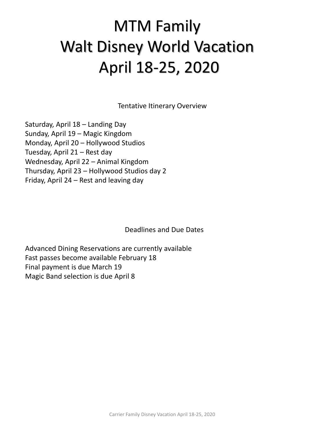# MTM Family Walt Disney World Vacation April 18-25, 2020

Tentative Itinerary Overview

Saturday, April 18 – Landing Day Sunday, April 19 – Magic Kingdom Monday, April 20 – Hollywood Studios Tuesday, April 21 – Rest day Wednesday, April 22 – Animal Kingdom Thursday, April 23 – Hollywood Studios day 2 Friday, April 24 – Rest and leaving day

Deadlines and Due Dates

Advanced Dining Reservations are currently available Fast passes become available February 18 Final payment is due March 19 Magic Band selection is due April 8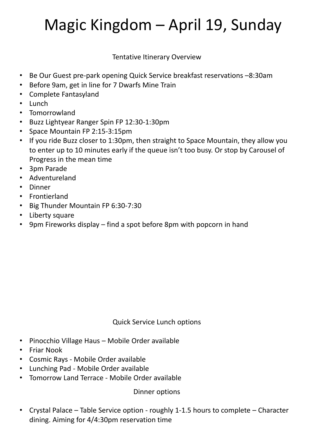# Magic Kingdom – April 19, Sunday

Tentative Itinerary Overview

- Be Our Guest pre-park opening Quick Service breakfast reservations –8:30am
- Before 9am, get in line for 7 Dwarfs Mine Train
- Complete Fantasyland
- Lunch
- Tomorrowland
- Buzz Lightyear Ranger Spin FP 12:30-1:30pm
- Space Mountain FP 2:15-3:15pm
- If you ride Buzz closer to 1:30pm, then straight to Space Mountain, they allow you to enter up to 10 minutes early if the queue isn't too busy. Or stop by Carousel of Progress in the mean time
- 3pm Parade
- Adventureland
- Dinner
- Frontierland
- Big Thunder Mountain FP 6:30-7:30
- Liberty square
- 9pm Fireworks display find a spot before 8pm with popcorn in hand

### Quick Service Lunch options

- Pinocchio Village Haus Mobile Order available
- Friar Nook
- Cosmic Rays Mobile Order available
- Lunching Pad Mobile Order available
- Tomorrow Land Terrace Mobile Order available

### Dinner options

• Crystal Palace – Table Service option - roughly 1-1.5 hours to complete – Character dining. Aiming for 4/4:30pm reservation time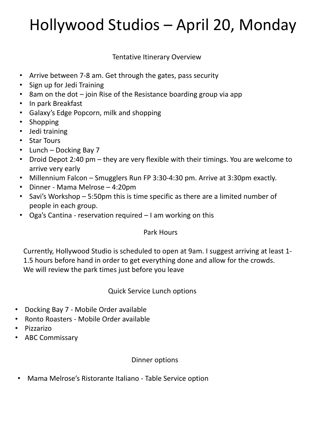# Hollywood Studios – April 20, Monday

Tentative Itinerary Overview

- Arrive between 7-8 am. Get through the gates, pass security
- Sign up for Jedi Training
- 8am on the dot  $-$  join Rise of the Resistance boarding group via app
- In park Breakfast
- Galaxy's Edge Popcorn, milk and shopping
- **Shopping**
- Jedi training
- Star Tours
- Lunch Docking Bay 7
- Droid Depot 2:40 pm they are very flexible with their timings. You are welcome to arrive very early
- Millennium Falcon Smugglers Run FP 3:30-4:30 pm. Arrive at 3:30pm exactly.
- Dinner Mama Melrose 4:20pm
- Savi's Workshop 5:50pm this is time specific as there are a limited number of people in each group.
- Oga's Cantina reservation required I am working on this

#### Park Hours

Currently, Hollywood Studio is scheduled to open at 9am. I suggest arriving at least 1- 1.5 hours before hand in order to get everything done and allow for the crowds. We will review the park times just before you leave

### Quick Service Lunch options

- Docking Bay 7 Mobile Order available
- Ronto Roasters Mobile Order available
- Pizzarizo
- ABC Commissary

#### Dinner options

• Mama Melrose's Ristorante Italiano - Table Service option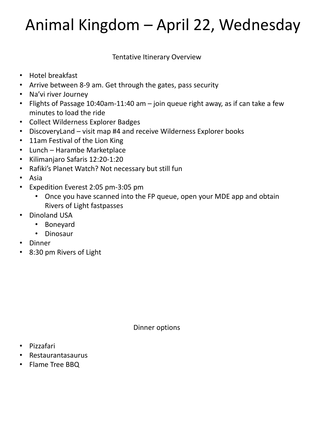# Animal Kingdom – April 22, Wednesday

Tentative Itinerary Overview

- Hotel breakfast
- Arrive between 8-9 am. Get through the gates, pass security
- Na'vi river Journey
- Flights of Passage 10:40am-11:40 am join queue right away, as if can take a few minutes to load the ride
- Collect Wilderness Explorer Badges
- DiscoveryLand visit map #4 and receive Wilderness Explorer books
- 11am Festival of the Lion King
- Lunch Harambe Marketplace
- Kilimanjaro Safaris 12:20-1:20
- Rafiki's Planet Watch? Not necessary but still fun
- Asia
- Expedition Everest 2:05 pm-3:05 pm
	- Once you have scanned into the FP queue, open your MDE app and obtain Rivers of Light fastpasses
- Dinoland USA
	- Boneyard
	- Dinosaur
- **Dinner**
- 8:30 pm Rivers of Light

Dinner options

- Pizzafari
- Restaurantasaurus
- Flame Tree BBQ